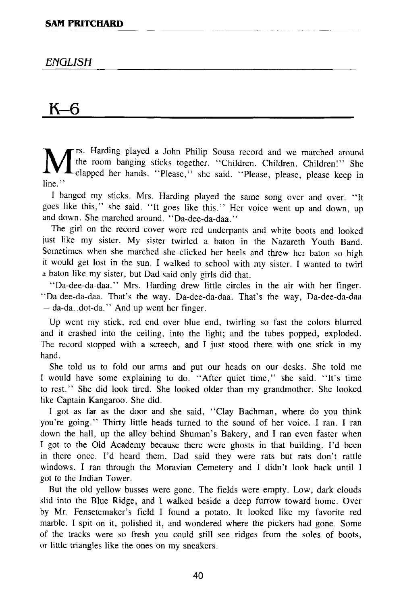## *ENGLISH*

## **K-6**

M rs. Harding played a John Philip Sousa record and we marched around the room banging sticks together. "Children. Children. Children!" She clapped her hands. "Please," she said. "Please, please, please keep in line."

I banged my sticks. Mrs. Harding played the same song over and over. "It goes like this," she said. "It goes like this." Her voice went up and down, up and down. She marched around. "Da-dee-da-daa."

The girl on the record cover wore red underpants and white boots and looked just like my sister. My sister twirled a baton in the Nazareth Youth Band. Sometimes when she marched she clicked her heels and threw her baton so high it would get lost in the sun. I walked to school with my sister. I wanted to twirl a baton like my sister, but Dad said only girls did that.

"Da-dee-da-daa." Mrs. Harding drew little circles in the air with her finger. "Da-dee-da-daa. That's the way. Da-dee-da-daa. That's the way, Da-dee-da-daa  $-$  da-da..dot-da." And up went her finger.

Up went my stick, red end over blue end, twirling so fast the colors blurred and it crashed into the ceiling, into the light; and the tubes popped, exploded. The record stopped with a screech, and I just stood there with one stick in my hand.

She told us to fold our arms and put our heads on our desks. She told me I would have some explaining to do. "After quiet time," she said. "It's time to rest." She did look tired. She looked older than my grandmother. She looked like Captain Kangaroo. She did.

I got as far as the door and she said, "Clay Bachman, where do you think you're going." Thirty little heads turned to the sound of her voice. I ran. I ran down the hall, up the alley behind Shuman's Bakery, and I ran even faster when I got to the Old Academy because there were ghosts in that building. I'd been in there once. I'd heard them. Dad said they were rats but rats don't rattle windows. I ran through the Moravian Cemetery and I didn't look back until I got to the Indian Tower.

But the old yellow busses were gone. The fields were empty. Low, dark clouds slid into the Blue Ridge, and I walked beside a deep furrow toward home. Over by Mr. Fensetemaker's field I found a potato. It looked like my favorite red marble. I spit on it, polished it, and wondered where the pickers had gone. Some of the tracks were so fresh you could still see ridges from the soles of boots, or little triangles like the ones on my sneakers.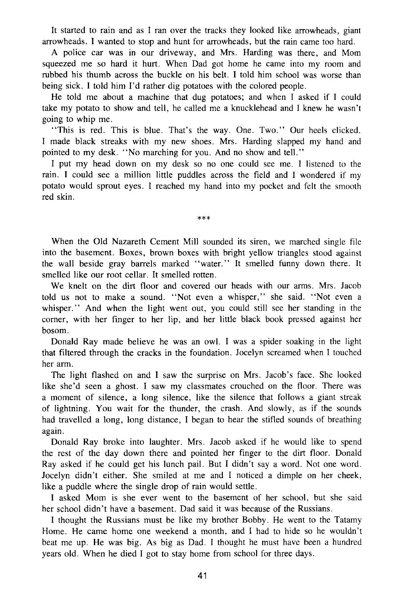It started to rain and as I ran over the tracks they looked like arrowheads, giant arrowheads. I wanted to stop and hunt for arrowheads, but the rain came too hard.

A police car was in our driveway, and Mrs. Harding was there, and Mom squeezed me so hard it hurt. When Dad got home he came into my room and rubbed his thumb across the buckle on his belt. I told him school was worse than being sick. I told him I'd rather dig potatoes with the colored people.

He told me about a machine that dug potatoes; and when I asked if I could take my potato to show and tell, he called me a knucklehead and I knew he wasn't going to whip me.

"This is red. This is blue. That's the way. One. Two." Our heels clicked. I made black streaks with my new shoes. Mrs. Harding slapped my hand and pointed to my desk. "No marching for you. And no show and tell."

I put my head down on my desk so no one could see me. I listened to the rain. I could see a million little puddles across the field and I wondered if my potato would sprout eyes. I reached my hand into my pocket and felt the smooth red skin.

**\*\*\*** 

When the Old Nazareth Cement Mill sounded its siren, we marched single file into the basement. Boxes, brown boxes with bright yellow triangles stood against the wall beside gray barrels marked "water." It smelled funny down there. It smelled like our root cellar. It smelled rotten.

We knelt on the dirt floor and covered our heads with our arms. Mrs. Jacob told us not to make a sound. "Not even a whisper," she said. "Not even a whisper." And when the light went out, you could still see her standing in the corner, with her finger to her lip, and her little black book pressed against her bosom.

Donald Ray made believe he was an owl. I was a spider soaking in the light that filtered through the cracks in the foundation. Jocelyn screamed when I touched her arm.

The light flashed on and I saw the surprise on Mrs. Jacob's face. She looked like she'd seen a ghost. I saw my classmates crouched on the floor. There was a moment of silence, a long silence, like the silence that follows a giant streak of lightning. You wait for the thunder, the crash. And slowly, as if the sounds had travelled a long, long distance, I began to hear the stifled sounds of breathing again.

Donald Ray broke into laughter. Mrs. Jacob asked if he would like to spend the rest of the day down there and pointed her finger to the dirt floor. Donald Ray asked if he could get his lunch pail. But I didn't say a word. Not one word. Jocelyn didn't either. She smiled at me and I noticed a dimple on her cheek, like a puddle where the single drop of rain would settle.

I asked Mom is she ever went to the basement of her school, but she said her school didn't have a basement. Dad said it was because of the Russians.

I thought the Russians must be like my brother Bobby. He went to the Tatamy Home. He came home one weekend a month, and I had to hide so he wouldn't beat me up. He was big. As big as Dad. I thought he must have been a hundred years old. When he died I got to stay home from school for three days.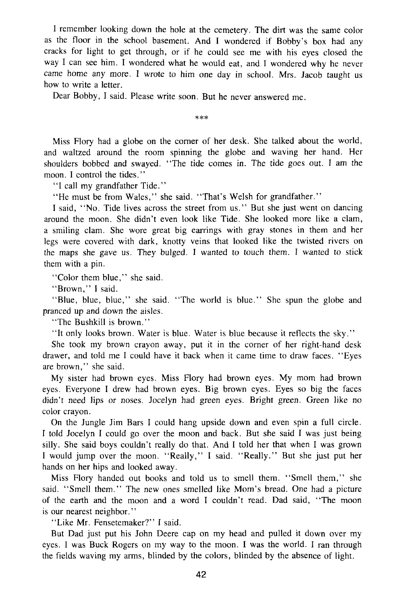I remember looking down the hole at the cemetery. The dirt was the same color as the floor in the school basement. And I wondered if Bobby's box had any cracks for light to get through, or if he could see me with his eyes closed the way I can see him. I wondered what he would eat, and I wondered why he never came home any more. I wrote to him one day in school. Mrs. Jacob taught us how to write a letter.

Dear Bobby, I said. Please write soon. But he never answered me.

**\*\*\*** 

Miss Flory had a globe on the corner of her desk. She talked about the world, and waltzed around the room spinning the globe and waving her hand. Her shoulders bobbed and swayed. "The tide comes in. The tide goes out. I am the moon. I control the tides."

"I call my grandfather Tide."

"He must be from Wales," she said. "That's Welsh for grandfather."

I said, "No. Tide lives across the street from us." But she just went on dancing around the moon. She didn't even look like Tide. She looked more like a clam, a smiling clam. She wore great big earrings with gray stones in them and her legs were covered with dark, knotty veins that looked like the twisted rivers on the maps she gave us. They bulged. I wanted to touch them. I wanted to stick them with a pin.

"Color them blue," she said.

"Brown," I said.

"Blue, blue, blue," she said. "The world is blue." She spun the globe and pranced up and down the aisles.

"The Bushkill is brown."

"It only looks brown. Water is blue. Water is blue because it reflects the sky."

She took my brown crayon away, put it in the corner of her right-hand desk drawer, and told me I could have it back when it came time to draw faces. "Eyes are brown," she said.

My sister had brown eyes. Miss Flory had brown eyes. My mom had brown eyes. Everyone I drew had brown eyes. Big brown eyes. Eyes so big the faces didn't need lips or noses. Jocelyn had green eyes. Bright green. Green like no color crayon.

On the Jungle Jim Bars I could hang upside down and even spin a full circle. I told Jocelyn I could go over the moon and back. But she said I was just being silly. She said boys couldn't really do that. And I told her that when I was grown I would jump over the moon. "Really," I said. "Really." But she just put her hands on her hips and looked away.

Miss Flory handed out books and told us to smell them. "Smell them," she said. "Smell them." The new ones smelled like Mom's bread. One had a picture of the earth and the moon and a word I couldn't read. Dad said, "The moon is our nearest neighbor."

"Like Mr. Fensetemaker?" I said.

But Dad just put his John Deere cap on my head and pulled it down over my eyes. I was Buck Rogers on my way to the moon. I was the world. I ran through the fields waving my arms, blinded by the colors, blinded by the absence of light.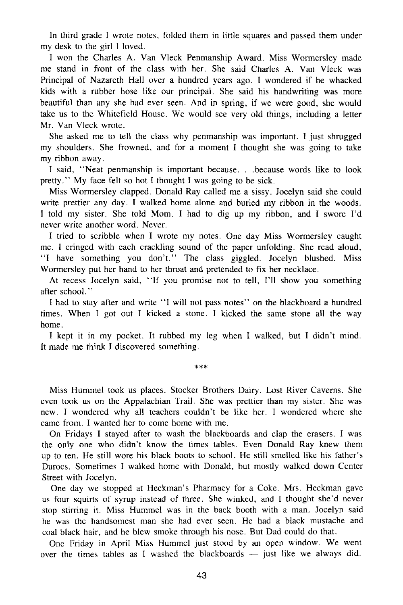In third grade I wrote notes, folded them in little squares and passed them under my desk to the girl I loved.

I won the Charles A. Van Vleck Penmanship Award. Miss Wormersley made me stand in front of the class with her. She said Charles A. Van Vleck was Principal of Nazareth Hall over a hundred years ago. I wondered if he whacked kids with a rubber hose like our principal. She said his handwriting was more beautiful than any she had ever seen. And in spring, if we were good, she would take us to the Whitefield House. We would see very old things, including a letter Mr. Van Vleck wrote.

She asked me to tell the class why penmanship was important. I just shrugged my shoulders. She frowned, and for a moment I thought she was going to take my ribbon away.

I said, "Neat penmanship is important because. . .because words like to look pretty." My face felt so hot I thought I was going to be sick.

Miss Wormersley clapped. Donald Ray called me a sissy. Jocelyn said she could write prettier any day. I walked home alone and buried my ribbon in the woods. I told my sister. She told Mom. I had to dig up my ribbon, and I swore I'd never write another word. Never.

I tried to scribble when I wrote my notes. One day Miss Wormersley caught me. I cringed with each crackling sound of the paper unfolding. She read aloud, "I have something you don't." The class giggled. Jocelyn blushed. Miss Wormersley put her hand to her throat and pretended to fix her necklace.

At recess Jocelyn said, "If you promise not to tell, I'll show you something after school."

I had to stay after and write "I will not pass notes" on the blackboard a hundred times. When I got out I kicked a stone. I kicked the same stone all the way home.

I kept it in my pocket. It rubbed my leg when I walked, but I didn't mind. It made me think I discovered something.

**\*\*\*** 

Miss Hummel took us places. Stocker Brothers Dairy. Lost River Caverns. She even took us on the Appalachian Trail. She was prettier than my sister. She was new. I wondered why all teachers couldn't be like her. I wondered where she came from. I wanted her to come home with me.

On Fridays I stayed after to wash the blackboards and clap the erasers. I was the only one who didn't know the times tables. Even Donald Ray knew them up to ten. He still wore his black boots to school. He still smelled like his father's Durocs. Sometimes I walked home with Donald, but mostly walked down Center Street with Jocelyn.

One day we stopped at Heckman's Pharmacy for a Coke. Mrs. Heckman gave us four squirts of syrup instead of three. She winked, and I thought she'd never stop stirring it. Miss Hummel was in the back booth with a man. Jocelyn said he was the handsomest man she had ever seen. He had a black mustache and coal black hair, and he blew smoke through his nose. But Dad could do that.

One Friday in April Miss Hummel just stood by an open window. We went over the times tables as I washed the blackboards — just like we always did.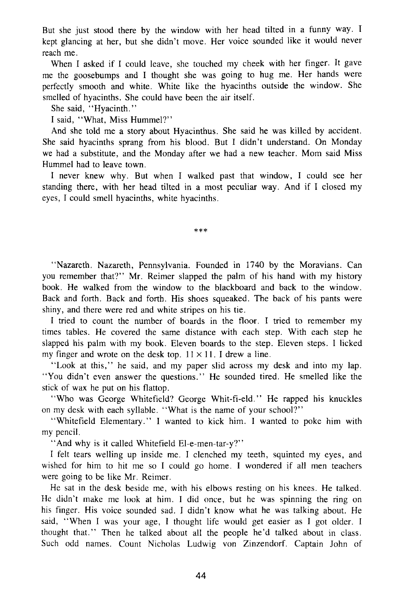But she just stood there by the window with her head tilted in a funny way. I kept glancing at her, but she didn't move. Her voice sounded like it would never reach me.

When I asked if I could leave, she touched my cheek with her finger. It gave me the goosebumps and I thought she was going to hug me. Her hands were perfectly smooth and white. White like the hyacinths outside the window. She smelled of hyacinths. She could have been the air itself.

She said, "Hyacinth."

I said, "What, Miss Hummel?"

And she told me a story about Hyacinthus. She said he was killed by accident. She said hyacinths sprang from his blood. But I didn't understand. On Monday we had a substitute, and the Monday after we had a new teacher. Mom said Miss Hummel had to leave town.

I never knew why. But when I walked past that window, I could see her standing there, with her head tilted in a most peculiar way. And if I closed my eyes, I could smell hyacinths, white hyacinths.

**\*##** 

"Nazareth. Nazareth, Pennsylvania. Founded in 1740 by the Moravians. Can you remember that?" Mr. Reimer slapped the palm of his hand with my history book. He walked from the window to the blackboard and back to the window. Back and forth. Back and forth. His shoes squeaked. The back of his pants were shiny, and there were red and white stripes on his tie.

I tried to count the number of boards in the floor. I tried to remember my times tables. He covered the same distance with each step. With each step he slapped his palm with my book. Eleven boards to the step. Eleven steps. I licked my finger and wrote on the desk top.  $11 \times 11$ . I drew a line.

"Look at this," he said, and my paper slid across my desk and into my lap. "You didn't even answer the questions." He sounded tired. He smelled like the stick of wax he put on his flattop.

"Who was George Whitefield? George Whit-fi-eld." He rapped his knuckles on my desk with each syllable. "What is the name of your school?"

"Whitefield Elementary." I wanted to kick him. I wanted to poke him with my pencil.

"And why is it called Whitefield El-e-men-tar-y?"

I felt tears welling up inside me. I clenched my teeth, squinted my eyes, and wished for him to hit me so I could go home. I wondered if all men teachers were going to be like Mr. Reimer.

He sat in the desk beside me, with his elbows resting on his knees. He talked. He didn't make me look at him. I did once, but he was spinning the ring on his finger. His voice sounded sad. I didn't know what he was talking about. He said, "When I was your age, I thought life would get easier as I got older. I thought that." Then he talked about all the people he'd talked about in class. Such odd names. Count Nicholas Ludwig von Zinzendorf. Captain John of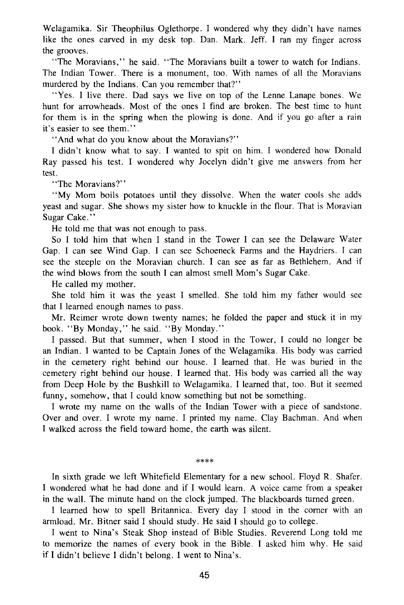Welagamika. Sir Theophilus Oglethorpe. I wondered why they didn't have names like the ones carved in my desk top. Dan. Mark. Jeff. I ran my finger across the grooves.

"The Moravians," he said. "The Moravians built a tower to watch for Indians. The Indian Tower. There is a monument, too. With names of all the Moravians murdered by the Indians. Can you remember that?"

"Yes. I live there. Dad says we live on top of the Lenne Lanape bones. We hunt for arrowheads. Most of the ones I find are broken. The best time to hunt for them is in the spring when the plowing is done. And if you go after a rain it's easier to see them."

"And what do you know about the Moravians?"

I didn't know what to say. I wanted to spit on him. I wondered how Donald Ray passed his test. I wondered why Jocelyn didn't give me answers from her test.

"The Moravians?"

"My Mom boils potatoes until they dissolve. When the water cools she adds yeast and sugar. She shows my sister how to knuckle in the flour. That is Moravian Sugar Cake."

He told me that was not enough to pass.

So I told him that when I stand in the Tower I can see the Delaware Water Gap. I can see Wind Gap. I can see Schoeneck Farms and the Haydriers. I can see the steeple on the Moravian church. I can see as far as Bethlehem. And if the wind blows from the south I can almost smell Mom's Sugar Cake.

He called my mother.

She told him it was the yeast I smelled. She told him my father would see that I learned enough names to pass.

Mr. Reimer wrote down twenty names; he folded the paper and stuck it in my book. "By Monday," he said. "By Monday."

I passed. But that summer, when I stood in the Tower, I could no longer be an Indian. I wanted to be Captain Jones of the Welagamika. His body was carried in the cemetery right behind our house. I learned that. He was buried in the cemetery right behind our house. I learned that. His body was carried all the way from Deep Hole by the Bushkill to Welagamika. I learned that, too. But it seemed funny, somehow, that I could know something but not be something.

I wrote my name on the walls of the Indian Tower with a piece of sandstone. Over and over. I wrote my name. I printed my name. Clay Bachman. And when I walked across the field toward home, the earth was silent.

 $****$ 

In sixth grade we left Whitefield Elementary for a new school. Floyd R. Shafer. I wondered what he had done and if I would learn. A voice came from a speaker in the wall. The minute hand on the clock jumped. The blackboards turned green.

I learned how to spell Britannica. Every day I stood in the corner with an armload. Mr. Bitner said I should study. He said I should go to college.

I went to Nina's Steak Shop instead of Bible Studies. Reverend Long told me to memorize the names of every book in the Bible. I asked him why. He said if I didn't believe I didn't belong. I went to Nina's.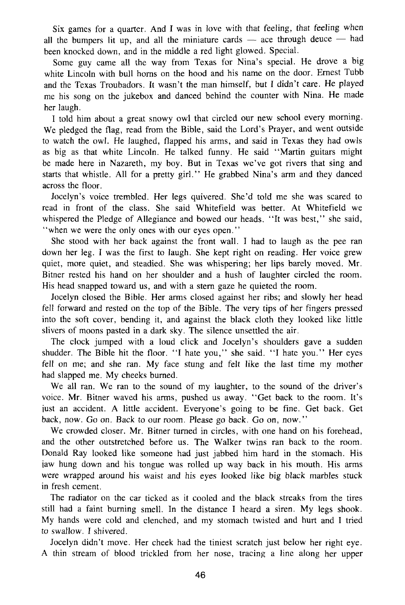Six games for a quarter. And I was in love with that feeling, that feeling when all the bumpers lit up, and all the miniature cards — ace through deuce — had been knocked down, and in the middle a red light glowed. Special.

Some guy came all the way from Texas for Nina's special. He drove a big white Lincoln with bull horns on the hood and his name on the door. Ernest Tubb and the Texas Troubadors. It wasn't the man himself, but I didn't care. He played me his song on the jukebox and danced behind the counter with Nina. He made her laugh.

I told him about a great snowy owl that circled our new school every morning. We pledged the flag, read from the Bible, said the Lord's Prayer, and went outside to watch the owl. He laughed, flapped his arms, and said in Texas they had owls as big as that white Lincoln. He talked funny. He said "Martin guitars might be made here in Nazareth, my boy. But in Texas we've got rivers that sing and starts that whistle. All for a pretty girl." He grabbed Nina's arm and they danced across the floor.

Jocelyn's voice trembled. Her legs quivered. She'd told me she was scared to read in front of the class. She said Whitefield was better. At Whitefield we whispered the Pledge of Allegiance and bowed our heads. "It was best," she said, "when we were the only ones with our eyes open."

She stood with her back against the front wall. I had to laugh as the pee ran down her leg. I was the first to laugh. She kept right on reading. Her voice grew quiet, more quiet, and steadied. She was whispering; her lips barely moved. Mr. Bitner rested his hand on her shoulder and a hush of laughter circled the room. His head snapped toward us, and with a stern gaze he quieted the room.

Jocelyn closed the Bible. Her arms closed against her ribs; and slowly her head fell forward and rested on the top of the Bible. The very tips of her fingers pressed into the soft cover, bending it, and against the black cloth they looked like little slivers of moons pasted in a dark sky. The silence unsettled the air.

The clock jumped with a loud click and Jocelyn's shoulders gave a sudden shudder. The Bible hit the floor. "I hate you," she said. "I hate you." Her eyes fell on me; and she ran. My face stung and felt like the last time my mother had slapped me. My cheeks burned.

We all ran. We ran to the sound of my laughter, to the sound of the driver's voice. Mr. Bitner waved his arms, pushed us away. "Get back to the room. It's just an accident. A little accident. Everyone's going to be fine. Get back. Get back, now. Go on. Back to our room. Please go back. Go on, now."

We crowded closer. Mr. Bitner turned in circles, with one hand on his forehead, and the other outstretched before us. The Walker twins ran back to the room. Donald Ray looked like someone had just jabbed him hard in the stomach. His jaw hung down and his tongue was rolled up way back in his mouth. His arms were wrapped around his waist and his eyes looked like big black marbles stuck in fresh cement.

The radiator on the car ticked as it cooled and the black streaks from the tires still had a faint burning smell. In the distance I heard a siren. My legs shook. My hands were cold and clenched, and my stomach twisted and hurt and I tried to swallow. I shivered.

Jocelyn didn't move. Her cheek had the tiniest scratch just below her right eye. A thin stream of blood trickled from her nose, tracing a line along her upper